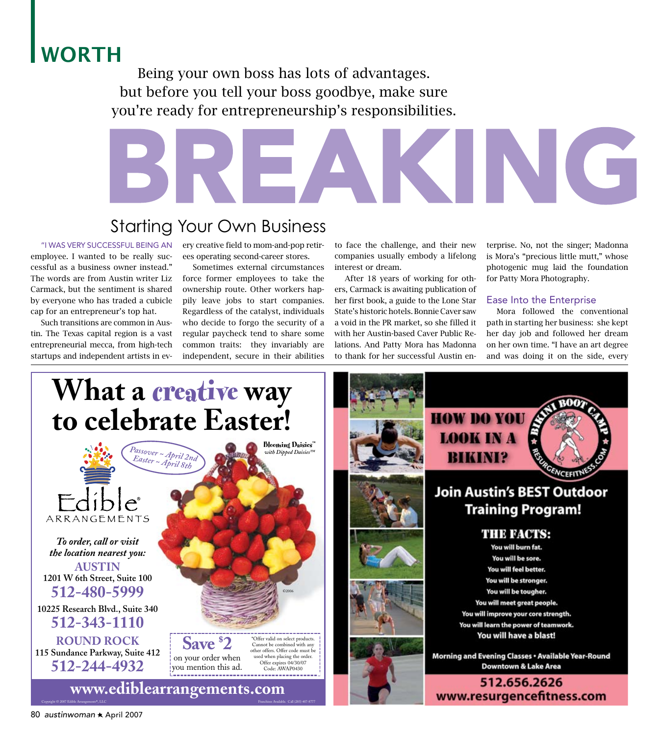# WORTH

Being your own boss has lots of advantages. but before you tell your boss goodbye, make sure you're ready for entrepreneurship's responsibilities.

# **BREAKING**<br>Starting Your Own Business

## Starting Your Own Business

#### "I was very successful being an

employee. I wanted to be really successful as a business owner instead." The words are from Austin writer Liz Carmack, but the sentiment is shared by everyone who has traded a cubicle cap for an entrepreneur's top hat.

 Such transitions are common in Austin. The Texas capital region is a vast entrepreneurial mecca, from high-tech startups and independent artists in every creative field to mom-and-pop retirees operating second-career stores.

 Sometimes external circumstances force former employees to take the ownership route. Other workers happily leave jobs to start companies. Regardless of the catalyst, individuals who decide to forgo the security of a regular paycheck tend to share some common traits: they invariably are independent, secure in their abilities

to face the challenge, and their new companies usually embody a lifelong interest or dream.

 After 18 years of working for others, Carmack is awaiting publication of her first book, a guide to the Lone Star State's historic hotels. Bonnie Caver saw a void in the PR market, so she filled it with her Austin-based Caver Public Relations. And Patty Mora has Madonna to thank for her successful Austin enterprise. No, not the singer; Madonna is Mora's "precious little mutt," whose photogenic mug laid the foundation for Patty Mora Photography.

#### Ease Into the Enterprise

 Mora followed the conventional path in starting her business: she kept her day job and followed her dream on her own time. "I have an art degree and was doing it on the side, every

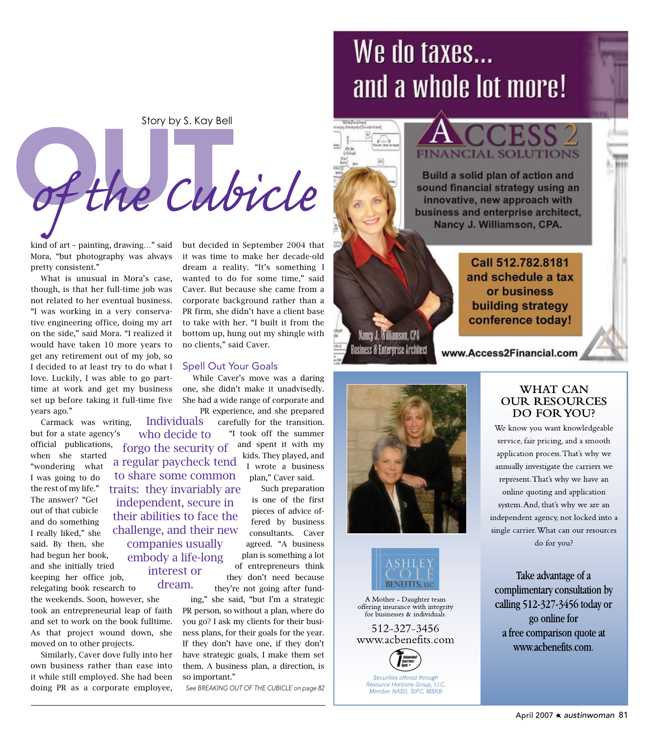Story by S. Kay Bell

Breaking Out *of the Cubicle*

Individuals who decide to

companies usually embody a life-long interest or dream.

kind of art – painting, drawing…" said Mora, "but photography was always pretty consistent."

 What is unusual in Mora's case, though, is that her full-time job was not related to her eventual business. "I was working in a very conserva tive engineering office, doing my art on the side," said Mora. "I realized it would have taken 10 more years to get any retirement out of my job, so I decided to at least try to do what I love. Luckily, I was able to go parttime at work and get my business set up before taking it full-time five years ago."

 Carmack was writing, but for a state agency's official publications, forgo the security of when she started "wondering what I was going to do the rest of my life." The answer? "Get out of that cubicle and do something I really liked," she said. By then, she had begun her book, and she initially tried keeping her office job, relegating book research to a regular paycheck tend to share some common traits: they invariably are independent, secure in their abilities to face the challenge, and their new

the weekends. Soon, however, she took an entrepreneurial leap of faith and set to work on the book fulltime. As that project wound down, she moved on to other projects.

 Similarly, Caver dove fully into her own business rather than ease into it while still employed. She had been doing PR as a corporate employee,

but decided in September 2004 that it was time to make her decade-old dream a reality. "It's something I wanted to do for some time," said Caver. But because she came from a corporate background rather than a PR firm, she didn't have a client base to take with her. "I built it from the bottom up, hung out my shingle with no clients," said Caver.

#### Spell Out Your Goals

 While Caver's move was a daring one, she didn't make it unadvisedly. She had a wide range of corporate and

> PR experience, and she prepared carefully for the transition. "I took off the summer and spent it with my kids. They played, and I wrote a business plan," Caver said.

> > Such preparation is one of the first pieces of advice of fered by business consultants. Caver agreed. "A business plan is something a lot of entrepreneurs think they don't need because they're not going after fund -

ing," she said, "but I'm a strategic PR person, so without a plan, where do you go? I ask my clients for their busi ness plans, for their goals for the year. If they don't have one, if they don't have strategic goals, I make them set them. A business plan, a direction, is so important."

*See BREAKING OUT OF THE CUBICLE on page 82*

# We do taxes... and a whole lot more!

# **NCIAL SOLUTIONS**

Build a solid plan of action and sound financial strategy using an innovative, new approach with business and enterprise architect, Nancy J. Williamson, CPA.

> and schedule a tax or business building strategy conference today!

Call 512.782.8181

Business & Enterprise Architect www.Access2Financial.com



Nancy J. Williamson, CPA



A Mother - Daughter team offering insurance with integrity for businesses & individuals.

512-327-3456 www.acbenefits.com



#### **WHAT CAN OUR RESOURCES** DO FOR YOU?

We know you want knowledgeable service, fair pricing, and a smooth application process. That's why we annually investigate the carriers we represent. That's why we have an online quoting and application system. And, that's why we are an independent agency, not locked into a single carrier. What can our resources do for you?

Take advantage of a complimentary consultation by calling 512-327-3456 today or go online for a free comparison quote at www.acbenefits.com.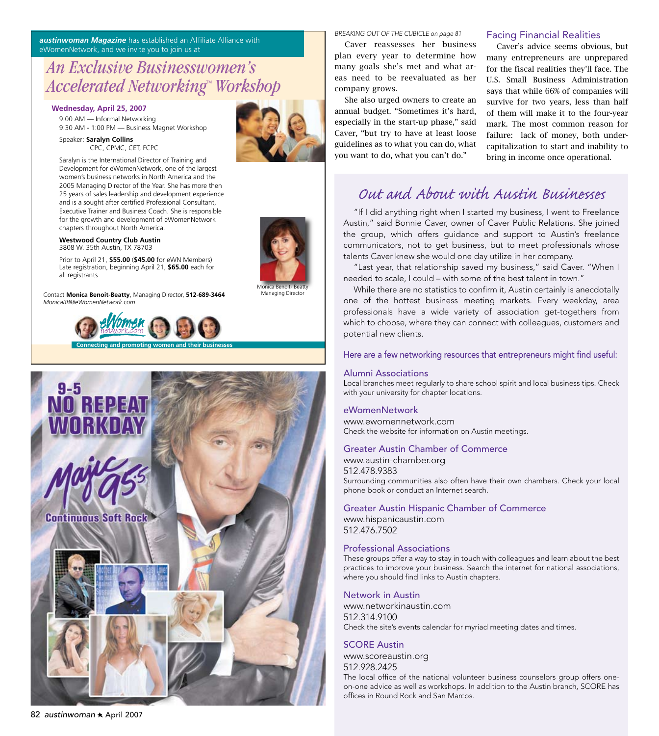*austinwoman Magazine* has established an Affiliate Alliance with eWomenNetwork, and we invite you to join us at

### *An Exclusive Businesswomen's*  Accelerated Networking™ Workshop

#### **Wednesday, April 25, 2007**

9:00 AM — Informal Networking 9:30 AM - 1:00 PM — Business Magnet Workshop

Speaker: **Saralyn Collins** CPC, CPMC, CET, FCPC

Saralyn is the International Director of Training and Development for eWomenNetwork, one of the largest women's business networks in North America and the 2005 Managing Director of the Year. She has more then 25 years of sales leadership and development experience and is a sought after certified Professional Consultant, Executive Trainer and Business Coach. She is responsible for the growth and development of eWomenNetwork chapters throughout North America.

#### **Westwood Country Club Austin** 3808 W. 35th Austin, TX 78703

Prior to April 21, **\$55.00** (**\$45.00** for eWN Members) Late registration, beginning April 21, **\$65.00** each for all registrants

Contact **Monica Benoit-Beatty**, Managing Director, **512-689-3464** *MonicaBB@eWomenNetwork.com*





*BREAKING OUT OF THE CUBICLE on page 81*

 Caver reassesses her business plan every year to determine how many goals she's met and what areas need to be reevaluated as her company grows.

 She also urged owners to create an annual budget. "Sometimes it's hard, especially in the start-up phase," said Caver, "but try to have at least loose guidelines as to what you can do, what you want to do, what you can't do."

#### Facing Financial Realities

 Caver's advice seems obvious, but many entrepreneurs are unprepared for the fiscal realities they'll face. The U.S. Small Business Administration says that while 66% of companies will survive for two years, less than half of them will make it to the four-year mark. The most common reason for failure: lack of money, both undercapitalization to start and inability to bring in income once operational.

## *Out and About with Austin Businesses*

"If I did anything right when I started my business, I went to Freelance Austin," said Bonnie Caver, owner of Caver Public Relations. She joined the group, which offers guidance and support to Austin's freelance communicators, not to get business, but to meet professionals whose talents Caver knew she would one day utilize in her company.

 "Last year, that relationship saved my business," said Caver. "When I needed to scale, I could – with some of the best talent in town."

 While there are no statistics to confirm it, Austin certainly is anecdotally one of the hottest business meeting markets. Every weekday, area professionals have a wide variety of association get-togethers from which to choose, where they can connect with colleagues, customers and potential new clients.

Here are a few networking resources that entrepreneurs might find useful:

#### Alumni Associations

Local branches meet regularly to share school spirit and local business tips. Check with your university for chapter locations.

#### eWomenNetwork

www.ewomennetwork.com Check the website for information on Austin meetings.

#### Greater Austin Chamber of Commerce

www.austin-chamber.org 512.478.9383

Surrounding communities also often have their own chambers. Check your local phone book or conduct an Internet search.

Greater Austin Hispanic Chamber of Commerce www.hispanicaustin.com

512.476.7502

#### Professional Associations

These groups offer a way to stay in touch with colleagues and learn about the best practices to improve your business. Search the internet for national associations, where you should find links to Austin chapters.

#### Network in Austin

www.networkinaustin.com 512.314.9100 Check the site's events calendar for myriad meeting dates and times.

#### SCORE Austin

www.scoreaustin.org 512.928.2425 The local office of the national volunteer business counselors group offers oneon-one advice as well as workshops. In addition to the Austin branch, SCORE has offices in Round Rock and San Marcos.



Monica Benoit- Beatty **Managing Director**